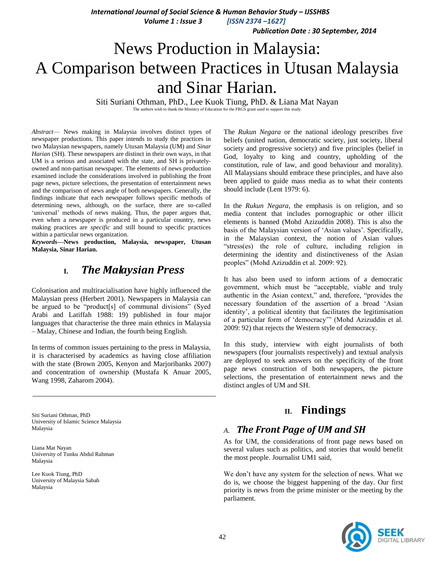*International Journal of Social Science & Human Behavior Study – IJSSHBS*

 *Volume 1 : Issue 3 [ISSN 2374 –1627]*

 *Publication Date : 30 September, 2014*

# News Production in Malaysia: A Comparison between Practices in Utusan Malaysia and Sinar Harian.

Siti Suriani Othman, PhD., Lee Kuok Tiung, PhD. & Liana Mat Nayan The authors wish to thank the Ministry of Education for the FRGS grant used to support this study.

*Abstract*— News making in Malaysia involves distinct types of newspaper productions. This paper intends to study the practices in two Malaysian newspapers, namely Utusan Malaysia (UM) and *Sinar Harian* (SH). These newspapers are distinct in their own ways, in that UM is a serious and associated with the state, and SH is privatelyowned and non-partisan newspaper. The elements of news production examined include the considerations involved in publishing the front page news, picture selections, the presentation of entertainment news and the comparison of news angle of both newspapers. Generally, the findings indicate that each newspaper follows specific methods of determining news, although, on the surface, there are so-called 'universal' methods of news making. Thus, the paper argues that, even when a newspaper is produced in a particular country, news making practices are *specific* and still bound to specific practices within a particular news organization.

*Keywords—***News production, Malaysia, newspaper, Utusan Malaysia, Sinar Harian.**

# **I.** *The Malaysian Press*

Colonisation and multiracialisation have highly influenced the Malaysian press (Herbert 2001). Newspapers in Malaysia can be argued to be "product[s] of communal divisions" (Syed Arabi and Latiffah 1988: 19) published in four major languages that characterise the three main ethnics in Malaysia – Malay, Chinese and Indian, the fourth being English.

In terms of common issues pertaining to the press in Malaysia, it is characterised by academics as having close affiliation with the state (Brown 2005, Kenyon and Marjoribanks 2007) and concentration of ownership (Mustafa K Anuar 2005, Wang 1998, Zaharom 2004).

The *Rukun Negara* or the national ideology prescribes five beliefs (united nation, democratic society, just society, liberal society and progressive society) and five principles (belief in God, loyalty to king and country, upholding of the constitution, rule of law, and good behaviour and morality). All Malaysians should embrace these principles, and have also been applied to guide mass media as to what their contents should include (Lent 1979: 6).

In the *Rukun Negara*, the emphasis is on religion, and so media content that includes pornographic or other illicit elements is banned (Mohd Azizuddin 2008). This is also the basis of the Malaysian version of 'Asian values'. Specifically, in the Malaysian context, the notion of Asian values ―stress(es) the role of culture, including religion in determining the identity and distinctiveness of the Asian peoples" (Mohd Azizuddin et al. 2009: 92).

It has also been used to inform actions of a democratic government, which must be "acceptable, viable and truly authentic in the Asian context," and, therefore, "provides the necessary foundation of the assertion of a broad 'Asian identity', a political identity that facilitates the legitimisation of a particular form of 'democracy'" (Mohd Azizuddin et al. 2009: 92) that rejects the Western style of democracy.

In this study, interview with eight journalists of both newspapers (four journalists respectively) and textual analysis are deployed to seek answers on the specificity of the front page news construction of both newspapers, the picture selections, the presentation of entertainment news and the distinct angles of UM and SH.

Siti Suriani Othman, PhD University of Islamic Science Malaysia Malaysia

Liana Mat Nayan University of Tunku Abdul Rahman Malaysia

Lee Kuok Tiung, PhD University of Malaysia Sabah Malaysia

# **II. Findings**

# *A. The Front Page of UM and SH*

As for UM, the considerations of front page news based on several values such as politics, and stories that would benefit the most people. Journalist UM1 said,

We don't have any system for the selection of news. What we do is, we choose the biggest happening of the day. Our first priority is news from the prime minister or the meeting by the parliament.

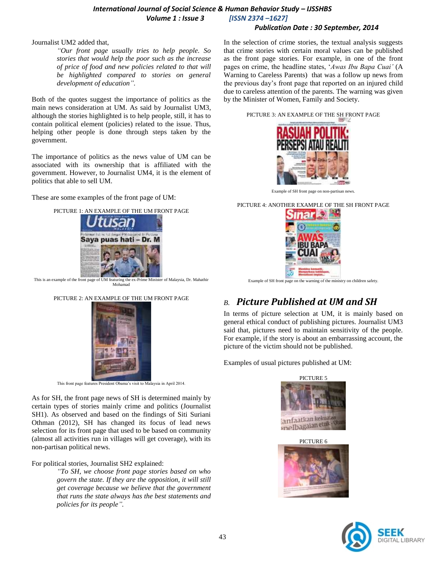## *International Journal of Social Science & Human Behavior Study – IJSSHBS Volume 1 : Issue 3 [ISSN 2374 –1627]*

### *Publication Date : 30 September, 2014*

### Journalist UM2 added that,

*"Our front page usually tries to help people. So stories that would help the poor such as the increase of price of food and new policies related to that will be highlighted compared to stories on general development of education".*

Both of the quotes suggest the importance of politics as the main news consideration at UM. As said by Journalist UM3, although the stories highlighted is to help people, still, it has to contain political element (policies) related to the issue. Thus, helping other people is done through steps taken by the government.

The importance of politics as the news value of UM can be associated with its ownership that is affiliated with the government. However, to Journalist UM4, it is the element of politics that able to sell UM.

These are some examples of the front page of UM:



This is an example of the front page of UM featuring the ex-Prime Minister of Malaysia, Dr. Mahathir Mohamad





This front page features President Obama's visit to Malaysia in April 2014.

As for SH, the front page news of SH is determined mainly by certain types of stories mainly crime and politics (Journalist SH1). As observed and based on the findings of Siti Suriani Othman (2012), SH has changed its focus of lead news selection for its front page that used to be based on community (almost all activities run in villages will get coverage), with its non-partisan political news.

For political stories, Journalist SH2 explained:

*"To SH, we choose front page stories based on who govern the state. If they are the opposition, it will still get coverage because we believe that the government that runs the state always has the best statements and policies for its people".*

In the selection of crime stories, the textual analysis suggests that crime stories with certain moral values can be published as the front page stories. For example, in one of the front pages on crime, the headline states, ‗*Awas Ibu Bapa Cuai'* (A Warning to Careless Parents) that was a follow up news from the previous day's front page that reported on an injured child due to careless attention of the parents. The warning was given by the Minister of Women, Family and Society.

#### PICTURE 3: AN EXAMPLE OF THE SH FRONT PAGE



Example of SH front page on non-partisan news.

PICTURE 4: ANOTHER EXAMPLE OF THE SH FRONT PAGE



Example of SH front page on the warning of the ministry on children safety.

# *B. Picture Published at UM and SH*

In terms of picture selection at UM, it is mainly based on general ethical conduct of publishing pictures. Journalist UM3 said that, pictures need to maintain sensitivity of the people. For example, if the story is about an embarrassing account, the picture of the victim should not be published.

Examples of usual pictures published at UM:







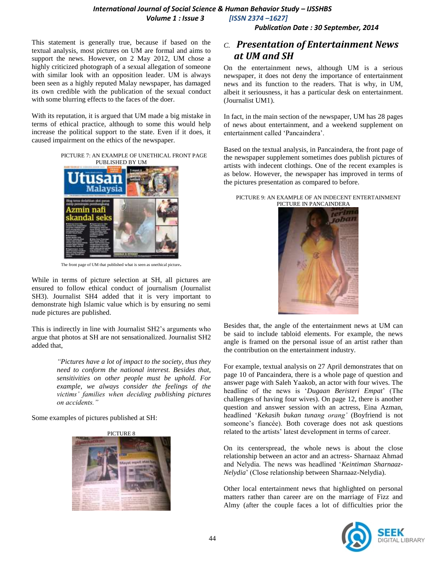## *International Journal of Social Science & Human Behavior Study – IJSSHBS Volume 1 : Issue 3 [ISSN 2374 –1627]*

 *Publication Date : 30 September, 2014*

This statement is generally true, because if based on the textual analysis, most pictures on UM are formal and aims to support the news. However, on 2 May 2012, UM chose a highly criticized photograph of a sexual allegation of someone with similar look with an opposition leader. UM is always been seen as a highly reputed Malay newspaper, has damaged its own credible with the publication of the sexual conduct with some blurring effects to the faces of the doer.

With its reputation, it is argued that UM made a big mistake in terms of ethical practice, although to some this would help increase the political support to the state. Even if it does, it caused impairment on the ethics of the newspaper.

PICTURE 7: AN EXAMPLE OF UNETHICAL FRONT PAGE PUBLISHED BY UM



The front page of UM that published what is seen as unethical picture.

While in terms of picture selection at SH, all pictures are ensured to follow ethical conduct of journalism (Journalist SH3). Journalist SH4 added that it is very important to demonstrate high Islamic value which is by ensuring no semi nude pictures are published.

This is indirectly in line with Journalist SH2's arguments who argue that photos at SH are not sensationalized. Journalist SH2 added that,

> *"Pictures have a lot of impact to the society, thus they need to conform the national interest. Besides that, sensitivities on other people must be uphold. For example, we always consider the feelings of the victims' families when deciding publishing pictures on accidents."*

Some examples of pictures published at SH:

PICTURE 8



## *C. Presentation of Entertainment News at UM and SH*

On the entertainment news, although UM is a serious newspaper, it does not deny the importance of entertainment news and its function to the readers. That is why, in UM, albeit it seriousness, it has a particular desk on entertainment. (Journalist UM1).

In fact, in the main section of the newspaper, UM has 28 pages of news about entertainment, and a weekend supplement on entertainment called 'Pancaindera'.

Based on the textual analysis, in Pancaindera, the front page of the newspaper supplement sometimes does publish pictures of artists with indecent clothings. One of the recent examples is as below. However, the newspaper has improved in terms of the pictures presentation as compared to before.

#### PICTURE 9: AN EXAMPLE OF AN INDECENT ENTERTAINMENT PICTURE IN PANCAINDERA



Besides that, the angle of the entertainment news at UM can be said to include tabloid elements. For example, the news angle is framed on the personal issue of an artist rather than the contribution on the entertainment industry.

For example, textual analysis on 27 April demonstrates that on page 10 of Pancaindera, there is a whole page of question and answer page with Saleh Yaakob, an actor with four wives. The headline of the news is ‗*Dugaan Beristeri Empat*' (The challenges of having four wives). On page 12, there is another question and answer session with an actress, Eina Azman, headlined ‗*Kekasih bukan tunang orang'* (Boyfriend is not someone's fiancée). Both coverage does not ask questions related to the artists' latest development in terms of career.

On its centerspread, the whole news is about the close relationship between an actor and an actress- Sharnaaz Ahmad and Nelydia. The news was headlined 'Keintiman Sharnaaz-*Nelydia*' (Close relationship between Sharnaaz-Nelydia).

Other local entertainment news that highlighted on personal matters rather than career are on the marriage of Fizz and Almy (after the couple faces a lot of difficulties prior the

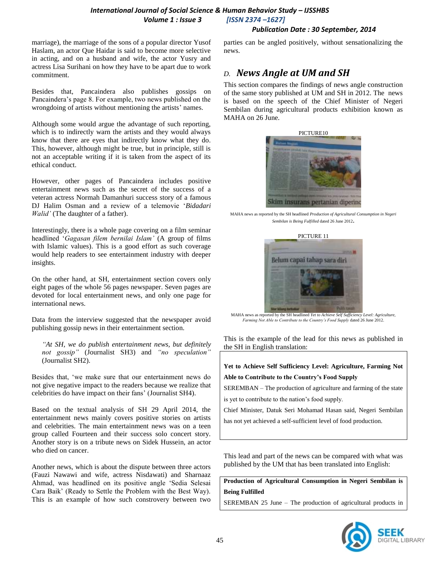## *International Journal of Social Science & Human Behavior Study – IJSSHBS Volume 1 : Issue 3 [ISSN 2374 –1627]*

## *Publication Date : 30 September, 2014*

marriage), the marriage of the sons of a popular director Yusof Haslam, an actor Que Haidar is said to become more selective in acting, and on a husband and wife, the actor Yusry and actress Lisa Surihani on how they have to be apart due to work commitment.

Besides that, Pancaindera also publishes gossips on Pancaindera's page 8. For example, two news published on the wrongdoing of artists without mentioning the artists' names.

Although some would argue the advantage of such reporting, which is to indirectly warn the artists and they would always know that there are eyes that indirectly know what they do. This, however, although might be true, but in principle, still is not an acceptable writing if it is taken from the aspect of its ethical conduct.

However, other pages of Pancaindera includes positive entertainment news such as the secret of the success of a veteran actress Normah Damanhuri success story of a famous DJ Halim Osman and a review of a telemovie ‗*Bidadari Walid'* (The daughter of a father).

Interestingly, there is a whole page covering on a film seminar headlined ‗*Gagasan filem bernilai Islam'* (A group of films with Islamic values). This is a good effort as such coverage would help readers to see entertainment industry with deeper insights.

On the other hand, at SH, entertainment section covers only eight pages of the whole 56 pages newspaper. Seven pages are devoted for local entertainment news, and only one page for international news.

Data from the interview suggested that the newspaper avoid publishing gossip news in their entertainment section.

*"At SH, we do publish entertainment news, but definitely not gossip"* (Journalist SH3) and *"no speculation"* (Journalist SH2).

Besides that, ‗we make sure that our entertainment news do not give negative impact to the readers because we realize that celebrities do have impact on their fans' (Journalist SH4).

Based on the textual analysis of SH 29 April 2014, the entertainment news mainly covers positive stories on artists and celebrities. The main entertainment news was on a teen group called Fourteen and their success solo concert story. Another story is on a tribute news on Sidek Hussein, an actor who died on cancer.

Another news, which is about the dispute between three actors (Fauzi Nawawi and wife, actress Nisdawati) and Sharnaaz Ahmad, was headlined on its positive angle 'Sedia Selesai Cara Baik' (Ready to Settle the Problem with the Best Way). This is an example of how such constrovery between two parties can be angled positively, without sensationalizing the news.

# *D. News Angle at UM and SH*

This section compares the findings of news angle construction of the same story published at UM and SH in 2012. The news is based on the speech of the Chief Minister of Negeri Sembilan during agricultural products exhibition known as MAHA on 26 June.



MAHA news as reported by the SH headlined *Production of Agricultural Consumption in Negeri Sembilan is Being Fulfilled* dated 26 June 2012.



MAHA news as reported by the SH headlined *Yet to Achieve Self Sufficiency Level: Agriculture, Farming Not Able to Contribute to the Country's Food Supply* dated 26 June 2012.

This is the example of the lead for this news as published in the SH in English translation:

**Yet to Achieve Self Sufficiency Level: Agriculture, Farming Not** 

**Able to Contribute to the Country's Food Supply**

SEREMBAN – The production of agriculture and farming of the state

is yet to contribute to the nation's food supply.

Chief Minister, Datuk Seri Mohamad Hasan said, Negeri Sembilan

has not yet achieved a self-sufficient level of food production.

This lead and part of the news can be compared with what was published by the UM that has been translated into English:

**Production of Agricultural Consumption in Negeri Sembilan is Being Fulfilled**

SEREMBAN 25 June – The production of agricultural products in